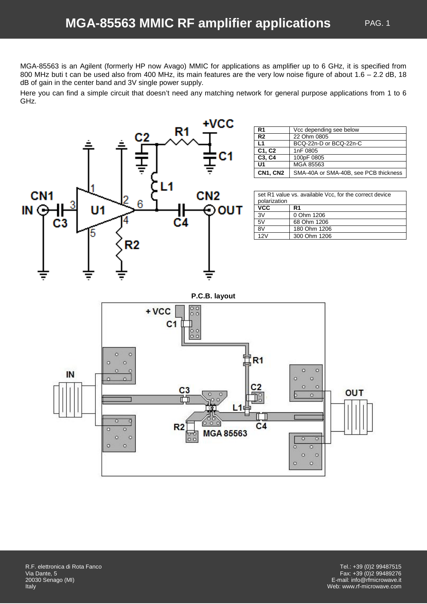MGA-85563 is an Agilent (formerly HP now Avago) MMIC for applications as amplifier up to 6 GHz, it is specified from 800 MHz buti t can be used also from 400 MHz, its main features are the very low noise figure of about 1.6 – 2.2 dB, 18 dB of gain in the center band and 3V single power supply.

Here you can find a simple circuit that doesn't need any matching network for general purpose applications from 1 to 6 GHz.

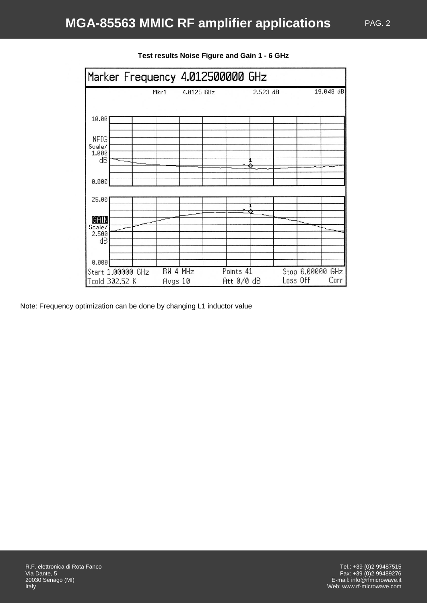

# **Test results Noise Figure and Gain 1 - 6 GHz**

Note: Frequency optimization can be done by changing L1 inductor value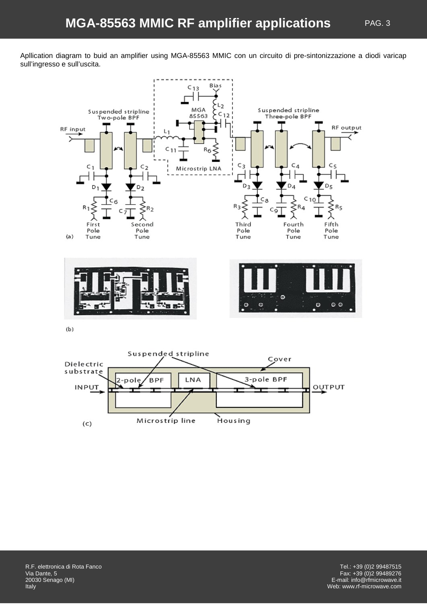Apllication diagram to buid an amplifier using MGA-85563 MMIC con un circuito di pre-sintonizzazione a diodi varicap sull'ingresso e sull'uscita.



Suspended stripline Cover Dielectric substrate 3-pole BPF LNA **BPF** pol **INPUT** OUTPUT Microstrip line Housing  $(c)$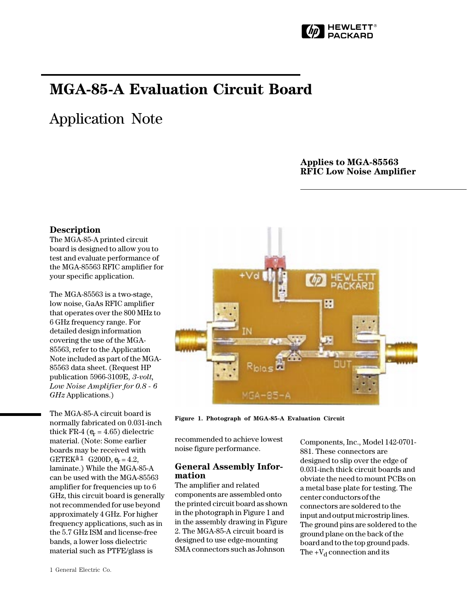

# MGA-85-A Evaluation Circuit Board

# Application Note

# Applies to MGA-85563 RFIC Low Noise Amplifier

#### Description

The MGA-85-A printed circuit board is designed to allow you to test and evaluate performance of the MGA-85563 RFIC amplifier for your specific application.

The MGA-85563 is a two-stage, low noise, GaAs RFIC amplifier that operates over the 800 MHz to 6 GHz frequency range. For detailed design information covering the use of the MGA-85563, refer to the Application Note included as part of the MGA-85563 data sheet. (Request HP publication 5966-3109E, 3-volt, Low Noise Amplifier for 0.8 - 6 GHz Applications.)

The MGA-85-A circuit board is normally fabricated on 0.031-inch thick FR-4 ( $e_r$  = 4.65) dielectric material. (Note: Some earlier boards may be received with GETEK $a_1$  G200D,  $e_r = 4.2$ , laminate.) While the MGA-85-A can be used with the MGA-85563 amplifier for frequencies up to 6 GHz, this circuit board is generally not recommended for use beyond approximately 4 GHz. For higher frequency applications, such as in the 5.7 GHz ISM and license-free bands, a lower loss dielectric material such as PTFE/glass is



Figure 1. Photograph of MGA-85-A Evaluation Circuit

recommended to achieve lowest noise figure performance.

### General Assembly Information

The amplifier and related components are assembled onto the printed circuit board as shown in the photograph in Figure 1 and in the assembly drawing in Figure 2. The MGA-85-A circuit board is designed to use edge-mounting SMA connectors such as Johnson

Components, Inc., Model 142-0701- 881. These connectors are designed to slip over the edge of 0.031-inch thick circuit boards and obviate the need to mount PCBs on a metal base plate for testing. The center conductors of the connectors are soldered to the input and output microstrip lines. The ground pins are soldered to the ground plane on the back of the board and to the top ground pads. The  $+V_d$  connection and its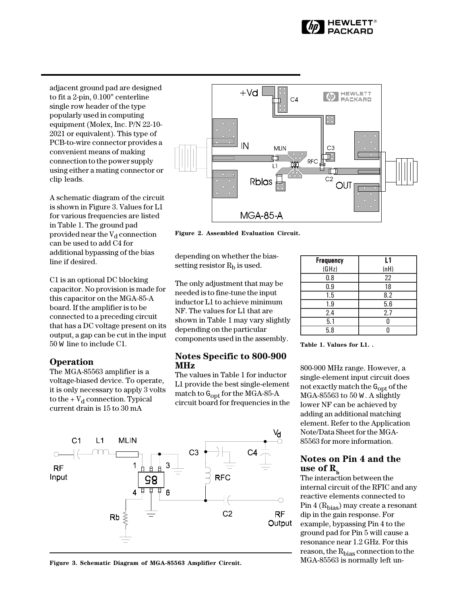

adjacent ground pad are designed to fit a 2-pin,  $0.100$ " centerline single row header of the type popularly used in computing equipment (Molex, Inc. P/N 22-10- 2021 or equivalent). This type of PCB-to-wire connector provides a convenient means of making connection to the power supply using either a mating connector or clip leads.

A schematic diagram of the circuit is shown in Figure 3. Values for L1 for various frequencies are listed in Table 1. The ground pad provided near the  $V_d$  connection can be used to add C4 for additional bypassing of the bias line if desired.

C1 is an optional DC blocking capacitor. No provision is made for this capacitor on the MGA-85-A board. If the amplifier is to be connected to a preceding circuit that has a DC voltage present on its output, a gap can be cut in the input 50 W line to include C1.

#### **Operation**

The MGA-85563 amplifier is a voltage-biased device. To operate, it is only necessary to apply 3 volts to the  $+V_d$  connection. Typical current drain is 15 to 30 mA



Figure 2. Assembled Evaluation Circuit.

depending on whether the biassetting resistor  $R<sub>b</sub>$  is used.

The only adjustment that may be needed is to fine-tune the input inductor L1 to achieve minimum NF. The values for L1 that are shown in Table 1 may vary slightly depending on the particular components used in the assembly.

#### Notes Specific to 800-900 MHz

The values in Table 1 for inductor L1 provide the best single-element match to Gopt for the MGA-85-A circuit board for frequencies in the



Figure 3. Schematic Diagram of MGA-85563 Amplifier Circuit.

| <b>Frequency</b> | L1   |
|------------------|------|
| (GHz)            | (nH) |
| 0.8              | 22   |
| 0.9              | 18   |
| 1.5              | 8.2  |
| 1.9              | 5.6  |
| 2.4              | 2.7  |
| 5.1              |      |
| 5.8              |      |

Table 1. Values for L1. .

800-900 MHz range. However, a single-element input circuit does not exactly match the G<sub>opt</sub> of the MGA-85563 to 50 W . A slightly lower NF can be achieved by adding an additional matching element. Refer to the Application Note/Data Sheet for the MGA-85563 for more information.

## Notes on Pin 4 and the use of  $R_b$

The interaction between the internal circuit of the RFIC and any reactive elements connected to Pin  $4(R_{bias})$  may create a resonant dip in the gain response. For example, bypassing Pin 4 to the ground pad for Pin 5 will cause a resonance near 1.2 GHz. For this reason, the R<sub>bias</sub> connection to the MGA-85563 is normally left un